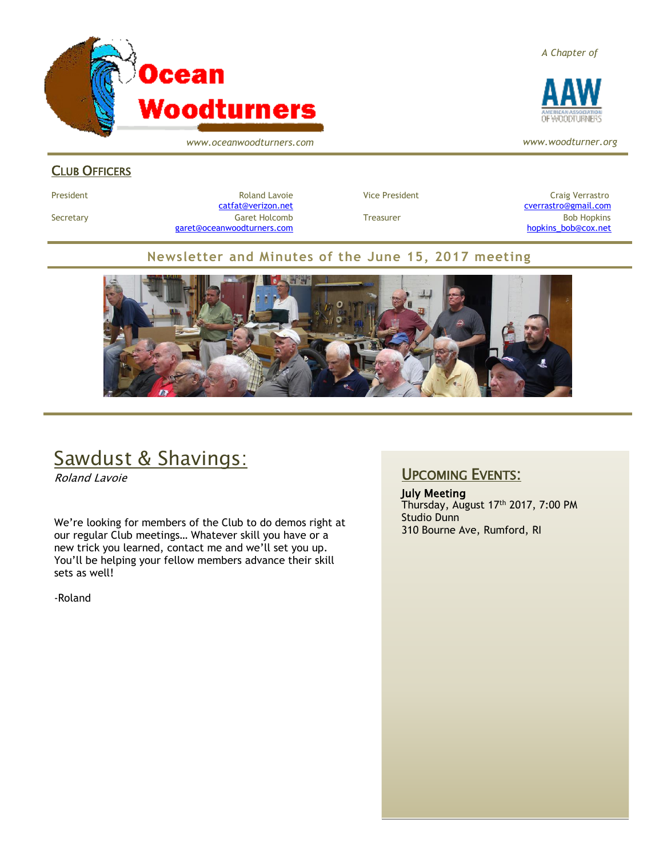

*www.oceanwoodturners.com*

#### *A Chapter of*



*www.woodturner.org*

#### CLUB OFFICERS

President **Roland Lavoie Roland Lavoie** Vice President **Craig Verrastro** Craig Verrastro Secretary Garet Holcomb Treasurer Bob Hopkins Bob Hopkins (Bob Hopkins Garet Holcomb [garet@oceanwoodturners.com](mailto:garet@oceanwoodturners.com) and the state of the state of the state of the state of the state of the state of the state of the state of the state of the state of the state of the state of the state of the state of the state

[catfat@verizon.net](file:///C:/Users/OTEC/Desktop/OW/catfat@verizon.net) [cverrastro@gmail.com](mailto:cverrastro@gmail.com)

#### **Newsletter and Minutes of the June 15, 2017 meeting**



# Sawdust & Shavings:

Roland Lavoie

We're looking for members of the Club to do demos right at our regular Club meetings… Whatever skill you have or a new trick you learned, contact me and we'll set you up. You'll be helping your fellow members advance their skill sets as well!

-Roland

### UPCOMING EVENTS:

July Meeting Thursday, August 17<sup>th</sup> 2017, 7:00 PM Studio Dunn 310 Bourne Ave, Rumford, RI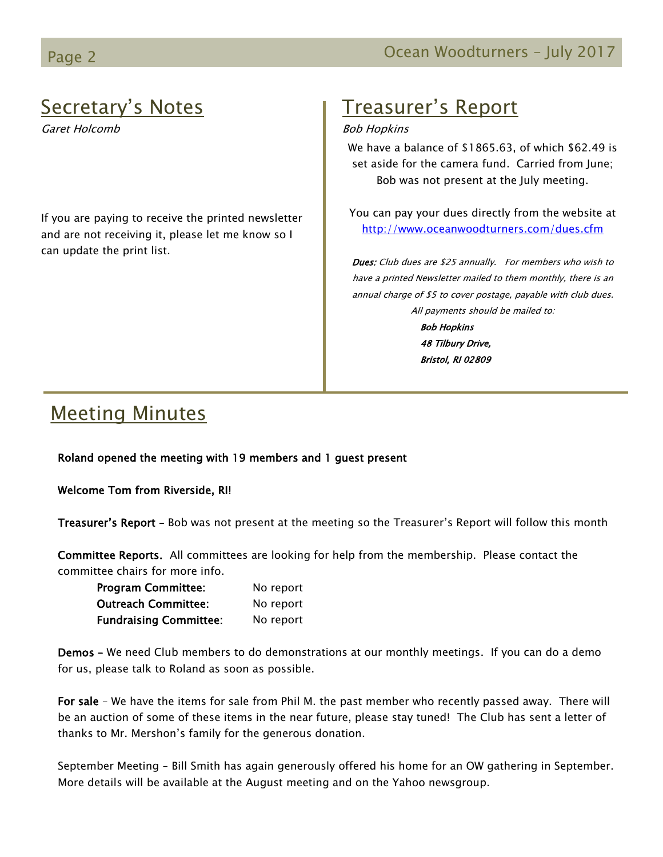# Page 2 **Detail Contract Contract Contract Contract Contract Contract Contract Contract Contract Contract Contract Contract Contract Contract Contract Contract Contract Contract Contract Contract Contract Contract Contract**

# Secretary's Notes

Garet Holcomb

If you are paying to receive the printed newsletter and are not receiving it, please let me know so I can update the print list.

# Treasurer's Report

#### Bob Hopkins

We have a balance of \$1865.63, of which \$62.49 is set aside for the camera fund. Carried from June; Bob was not present at the July meeting.

You can pay your dues directly from the website at <http://www.oceanwoodturners.com/dues.cfm>

Dues: Club dues are \$25 annually. For members who wish to have a printed Newsletter mailed to them monthly, there is an annual charge of \$5 to cover postage, payable with club dues. All payments should be mailed to: Bob Hopkins 48 Tilbury Drive, Bristol, RI 02809

# Meeting Minutes

Roland opened the meeting with 19 members and 1 guest present

Welcome Tom from Riverside, RI!

Treasurer's Report - Bob was not present at the meeting so the Treasurer's Report will follow this month

Committee Reports. All committees are looking for help from the membership. Please contact the committee chairs for more info.

| <b>Program Committee:</b>     | No report |
|-------------------------------|-----------|
| <b>Outreach Committee:</b>    | No report |
| <b>Fundraising Committee:</b> | No report |

Demos – We need Club members to do demonstrations at our monthly meetings. If you can do a demo for us, please talk to Roland as soon as possible.

For sale – We have the items for sale from Phil M. the past member who recently passed away. There will be an auction of some of these items in the near future, please stay tuned! The Club has sent a letter of thanks to Mr. Mershon's family for the generous donation.

September Meeting – Bill Smith has again generously offered his home for an OW gathering in September. More details will be available at the August meeting and on the Yahoo newsgroup.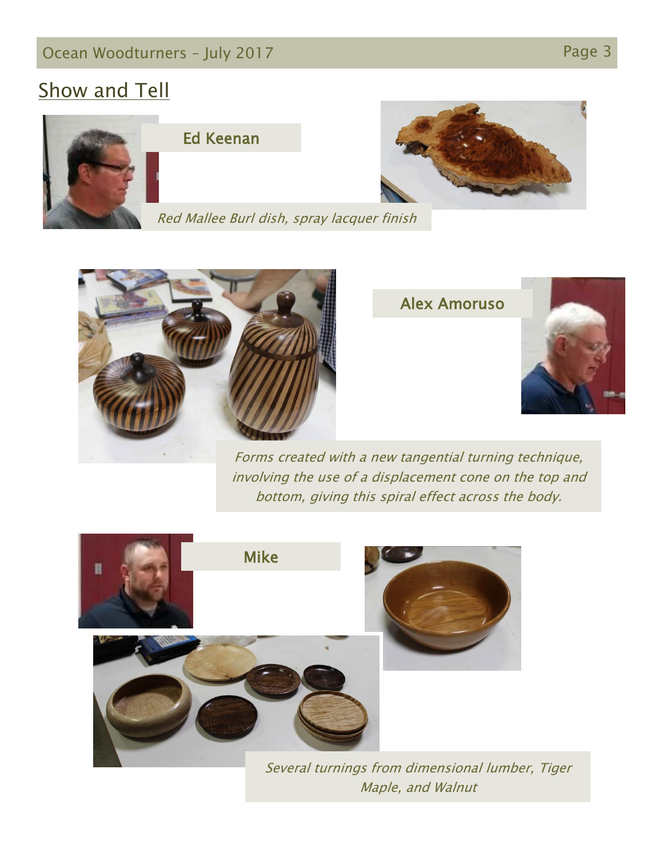# **Show and Tell**





Red Mallee Burl dish, spray lacquer finish



Alex Amoruso



Forms created with a new tangential turning technique, involving the use of a displacement cone on the top and bottom, giving this spiral effect across the body.



Several turnings from dimensional lumber, Tiger Maple, and Walnut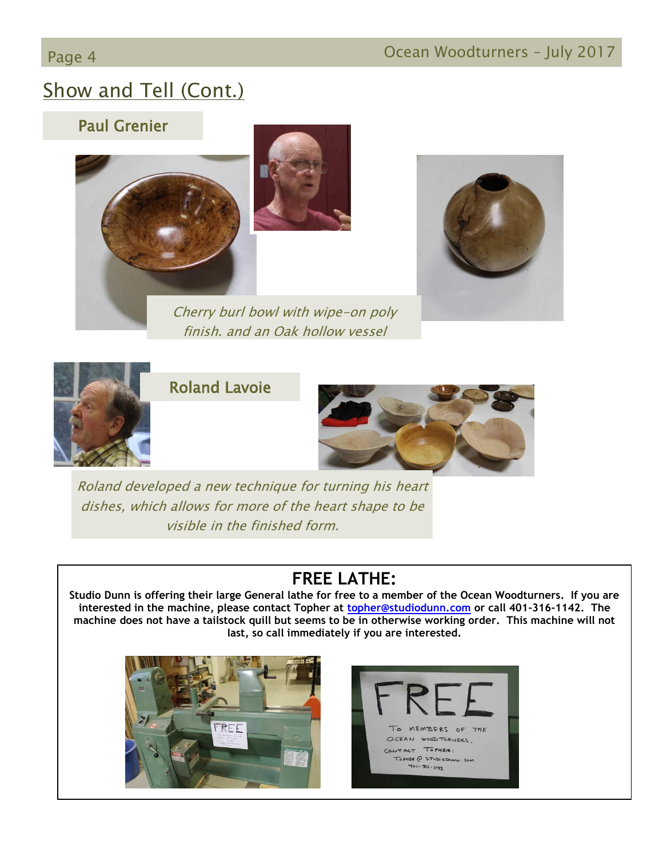# Show and Tell (Cont.)

## Paul Grenier







## Roland Lavoie



Roland developed a new technique for turning his heart dishes, which allows for more of the heart shape to be visible in the finished form.

## **FREE LATHE:**

**Studio Dunn is offering their large General lathe for free to a member of the Ocean Woodturners. If you are interested in the machine, please contact Topher at [topher@studiodunn.com](mailto:topher@studiodunn.com) or call 401-316-1142. The machine does not have a tailstock quill but seems to be in otherwise working order. This machine will not last, so call immediately if you are interested.**



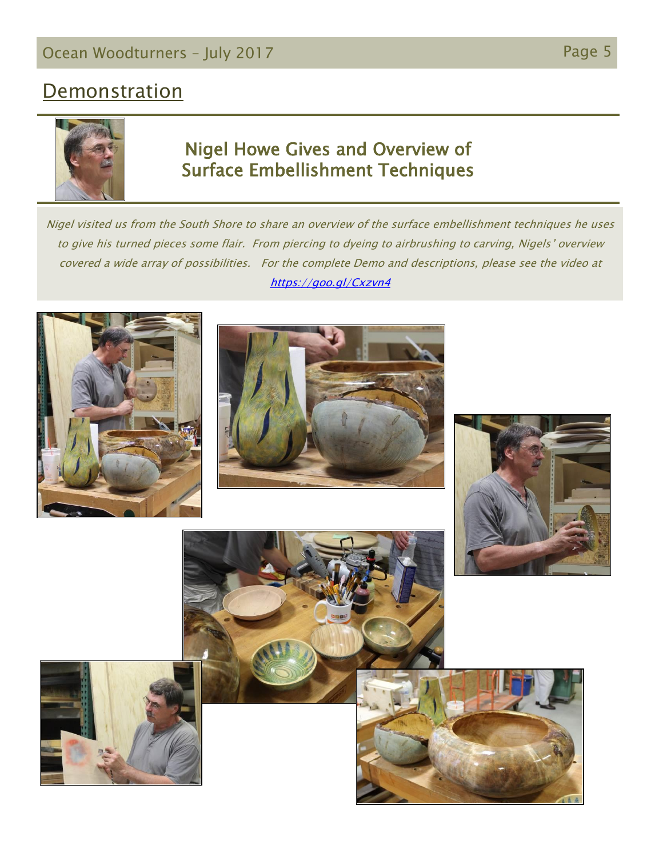# **Demonstration**



## Nigel Howe Gives and Overview of Surface Embellishment Techniques

Nigel visited us from the South Shore to share an overview of the surface embellishment techniques he uses to give his turned pieces some flair. From piercing to dyeing to airbrushing to carving, Nigels' overview covered a wide array of possibilities. For the complete Demo and descriptions, please see the video at <https://goo.gl/Cxzvn4>